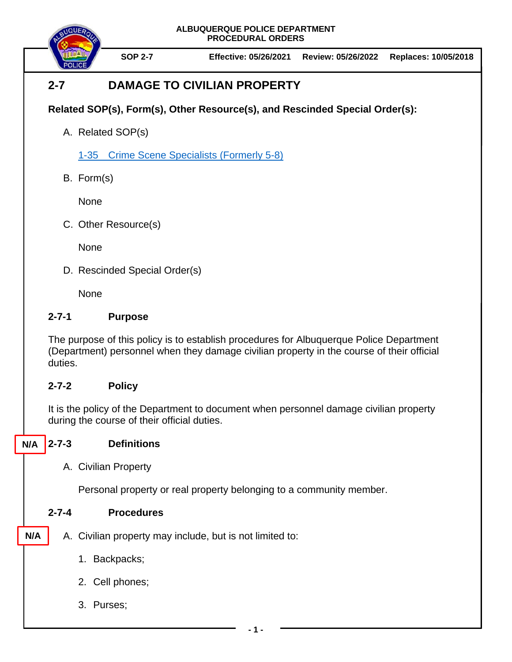**ALBUQUERQUE POLICE DEPARTMENT PROCEDURAL ORDERS**



**SOP 2-7 Effective: 05/26/2021 Review: 05/26/2022 Replaces: 10/05/2018**

# **2-7 DAMAGE TO CIVILIAN PROPERTY**

## **Related SOP(s), Form(s), Other Resource(s), and Rescinded Special Order(s):**

A. Related SOP(s)

1-35 [Crime Scene Specialists](https://powerdms.com/docs/525279) (Formerly 5-8)

B. Form(s)

None

C. Other Resource(s)

**None** 

D. Rescinded Special Order(s)

None

#### **2-7-1 Purpose**

The purpose of this policy is to establish procedures for Albuquerque Police Department (Department) personnel when they damage civilian property in the course of their official duties.

## **2-7-2 Policy**

It is the policy of the Department to document when personnel damage civilian property during the course of their official duties.

## **2-7-3 Definitions**

**N/A**

A. Civilian Property

Personal property or real property belonging to a community member.

#### **2-7-4 Procedures**

- A. Civilian property may include, but is not limited to: **N/A**
	- 1. Backpacks;
	- 2. Cell phones;
	- 3. Purses;